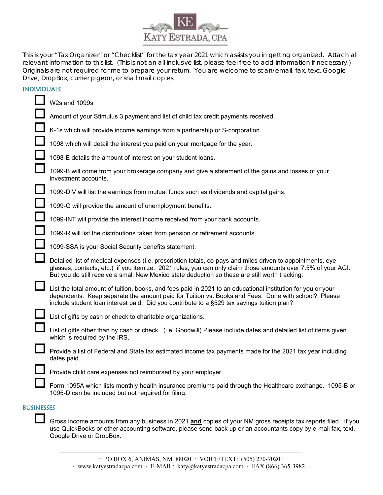

This is your "Tax Organizer" or "Checklist" for the tax year 2021 which assists you in getting organized. Attach all relevant information to this list. (This is not an all inclusive list, please feel free to add information if necessary.) Originals are not required for me to prepare your return. You are welcome to scan/email, fax, text, Google Drive, DropBox, currier pigeon, or snail mail copies.

## INDIVIDUALS

| W2s and 1099s                                                                                                                                                                                                                                                                                                                |  |
|------------------------------------------------------------------------------------------------------------------------------------------------------------------------------------------------------------------------------------------------------------------------------------------------------------------------------|--|
| Amount of your Stimulus 3 payment and list of child tax credit payments received.                                                                                                                                                                                                                                            |  |
| K-1s which will provide income earnings from a partnership or S-corporation.                                                                                                                                                                                                                                                 |  |
| 1098 which will detail the interest you paid on your mortgage for the year.                                                                                                                                                                                                                                                  |  |
| 1098-E details the amount of interest on your student loans.                                                                                                                                                                                                                                                                 |  |
| 1099-B will come from your brokerage company and give a statement of the gains and losses of your<br>investment accounts.                                                                                                                                                                                                    |  |
| 1099-DIV will list the earnings from mutual funds such as dividends and capital gains.                                                                                                                                                                                                                                       |  |
| 1099-G will provide the amount of unemployment benefits.                                                                                                                                                                                                                                                                     |  |
| 1099-INT will provide the interest income received from your bank accounts.                                                                                                                                                                                                                                                  |  |
| 1099-R will list the distributions taken from pension or retirement accounts.                                                                                                                                                                                                                                                |  |
| 1099-SSA is your Social Security benefits statement.                                                                                                                                                                                                                                                                         |  |
| Detailed list of medical expenses (i.e. prescription totals, co-pays and miles driven to appointments, eye<br>glasses, contacts, etc.) if you itemize. 2021 rules, you can only claim those amounts over 7.5% of your AGI.<br>But you do still receive a small New Mexico state deduction so these are still worth tracking. |  |
| List the total amount of tuition, books, and fees paid in 2021 to an educational institution for you or your<br>dependents. Keep separate the amount paid for Tuition vs. Books and Fees. Done with school? Please<br>include student loan interest paid. Did you contribute to a §529 tax savings tuition plan?             |  |
| List of gifts by cash or check to charitable organizations.                                                                                                                                                                                                                                                                  |  |
| List of gifts other than by cash or check. (i.e. Goodwill) Please include dates and detailed list of items given<br>which is required by the IRS.                                                                                                                                                                            |  |
| Provide a list of Federal and State tax estimated income tax payments made for the 2021 tax year including<br>dates paid.                                                                                                                                                                                                    |  |
| Provide child care expenses not reimbursed by your employer.                                                                                                                                                                                                                                                                 |  |
| Form 1095A which lists monthly health insurance premiums paid through the Healthcare exchange. 1095-B or<br>1095-D can be included but not required for filing.                                                                                                                                                              |  |
| <b>BUSINESSES</b>                                                                                                                                                                                                                                                                                                            |  |

 Gross income amounts from any business in 2021 **and** copies of your NM gross receipts tax reports filed. If you use QuickBooks or other accounting software, please send back up or an accountants copy by e-mail fax, text, Google Drive or DropBox.

**ꞏ** PO BOX 6, ANIMAS, NM 88020 **ꞏ** VOICE/TEXT: (505) 270-7020 **ꞏ**  $\cdot$  www.katyestradacpa.com  $\cdot$  E-MAIL: katy@katyestradacpa.com  $\cdot$  FAX (866) 365-3982  $\cdot$